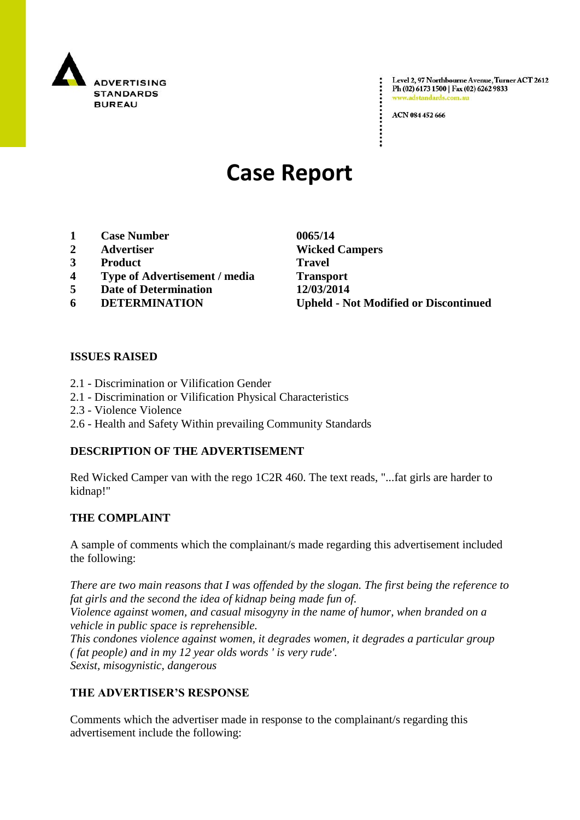

Level 2, 97 Northbourne Avenue, Turner ACT 2612 Ph (02) 6173 1500 | Fax (02) 6262 9833 www.adstandards.co

ACN 084 452 666

# **Case Report**

- **1 Case Number 0065/14**
- 
- **3 Product Travel**
- **4 Type of Advertisement / media Transport**
- **5 Date of Determination 12/03/2014**
- 

**2 Advertiser Wicked Campers 6 DETERMINATION Upheld - Not Modified or Discontinued**

## **ISSUES RAISED**

- 2.1 Discrimination or Vilification Gender
- 2.1 Discrimination or Vilification Physical Characteristics
- 2.3 Violence Violence
- 2.6 Health and Safety Within prevailing Community Standards

### **DESCRIPTION OF THE ADVERTISEMENT**

Red Wicked Camper van with the rego 1C2R 460. The text reads, "...fat girls are harder to kidnap!"

### **THE COMPLAINT**

A sample of comments which the complainant/s made regarding this advertisement included the following:

*There are two main reasons that I was offended by the slogan. The first being the reference to fat girls and the second the idea of kidnap being made fun of.*

*Violence against women, and casual misogyny in the name of humor, when branded on a vehicle in public space is reprehensible.*

*This condones violence against women, it degrades women, it degrades a particular group ( fat people) and in my 12 year olds words ' is very rude'. Sexist, misogynistic, dangerous*

## **THE ADVERTISER'S RESPONSE**

Comments which the advertiser made in response to the complainant/s regarding this advertisement include the following: